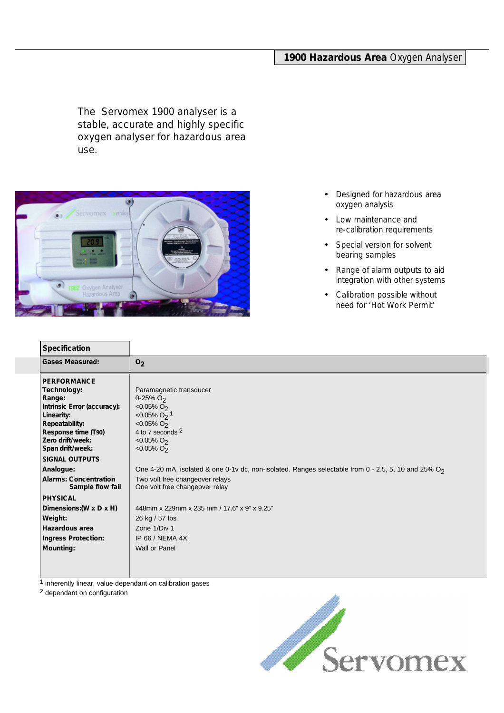# **1900 Hazardous Area** Oxygen Analyser

The Servomex 1900 analyser is a stable, accurate and highly specific oxygen analyser for hazardous area use.



- Designed for hazardous area oxygen analysis
- Low maintenance and re-calibration requirements
- Special version for solvent bearing samples
- Range of alarm outputs to aid integration with other systems
- Calibration possible without need for 'Hot Work Permit'

| <b>Specification</b>                                                                                                                                                             |                                                                                                                                                                                       |
|----------------------------------------------------------------------------------------------------------------------------------------------------------------------------------|---------------------------------------------------------------------------------------------------------------------------------------------------------------------------------------|
| <b>Gases Measured:</b>                                                                                                                                                           | O <sub>2</sub>                                                                                                                                                                        |
| <b>PERFORMANCE</b><br>Technology:<br>Range:<br>Intrinsic Error (accuracy):<br>Linearity:<br><b>Repeatability:</b><br>Response time (T90)<br>Zero drift/week:<br>Span drift/week: | Paramagnetic transducer<br>$0 - 25%$ O <sub>2</sub><br>$< 0.05\% O2$<br>$< 0.05\%$ O <sub>2</sub> <sup>1</sup><br>$< 0.05\% O2$<br>4 to 7 seconds 2<br>$< 0.05\% O2$<br>$< 0.05\% O2$ |
| <b>SIGNAL OUTPUTS</b>                                                                                                                                                            |                                                                                                                                                                                       |
| Analogue:                                                                                                                                                                        | One 4-20 mA, isolated & one 0-1v dc, non-isolated. Ranges selectable from 0 - 2.5, 5, 10 and 25% O <sub>2</sub>                                                                       |
| <b>Alarms: Concentration</b><br>Sample flow fail                                                                                                                                 | Two volt free changeover relays<br>One volt free changeover relay                                                                                                                     |
| <b>PHYSICAL</b>                                                                                                                                                                  |                                                                                                                                                                                       |
| Dimensions: (W x D x H)                                                                                                                                                          | 448mm x 229mm x 235 mm / 17.6" x 9" x 9.25"                                                                                                                                           |
| Weight:                                                                                                                                                                          | 26 kg / 57 lbs                                                                                                                                                                        |
| Hazardous area                                                                                                                                                                   | Zone 1/Div 1                                                                                                                                                                          |
| <b>Ingress Protection:</b>                                                                                                                                                       | IP 66 / NEMA 4X                                                                                                                                                                       |
| <b>Mounting:</b>                                                                                                                                                                 | Wall or Panel                                                                                                                                                                         |
|                                                                                                                                                                                  |                                                                                                                                                                                       |

 $\frac{1}{1}$  inherently linear, value dependant on calibration gases

2 dependant on configuration

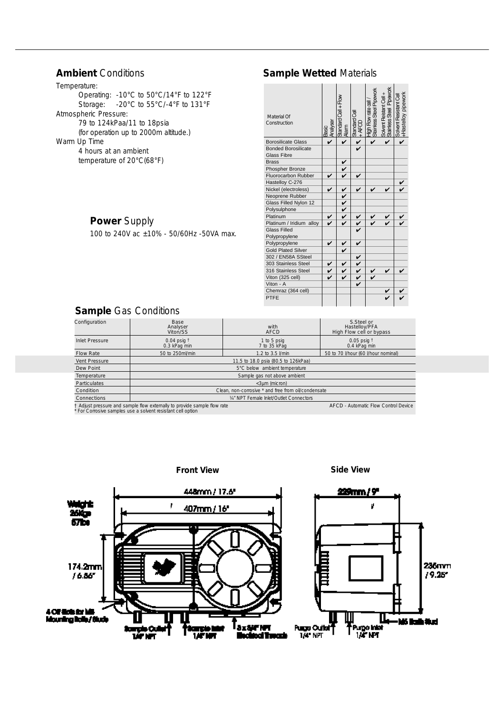# **Ambient** Conditions

Temperature: Operating: -10°C to 50°C/14°F to 122°F Storage: -20°C to 55°C/-4°F to 131°F Atmospheric Pressure: 79 to 124kPaa/11 to 18psia (for operation up to 2000m altitude.) Warm Up Time 4 hours at an ambient temperature of 20°C(68°F)

# **Power** Supply

100 to 240V ac ±10% - 50/60Hz -50VA max.

| <b>Sample Wetted Materials</b> |  |
|--------------------------------|--|
|                                |  |

| Material Of<br>Construction | Analyser<br>Basic | Standard Cell + Flow<br>Alam | Standard Cell<br>+ AFCD<br>+ | High Flow rate cell/<br>Stainless Steel Pipework | Solvent Reistant Cell +<br>Stainless Steel Pipework | +Hastelloy pipework<br>Solvent Resistant Cell |
|-----------------------------|-------------------|------------------------------|------------------------------|--------------------------------------------------|-----------------------------------------------------|-----------------------------------------------|
| <b>Borosilicate Glass</b>   |                   | V                            |                              |                                                  |                                                     |                                               |
| <b>Bonded Borosilicate</b>  |                   |                              |                              |                                                  |                                                     |                                               |
| <b>Glass Fibre</b>          |                   |                              |                              |                                                  |                                                     |                                               |
| <b>Brass</b>                |                   | $\frac{v}{v}$                |                              |                                                  |                                                     |                                               |
| Phospher Bronze             |                   |                              |                              |                                                  |                                                     |                                               |
| <b>Fluorocarbon Rubber</b>  | V                 | V                            |                              |                                                  |                                                     |                                               |
| Hastelloy C-276             |                   |                              |                              |                                                  |                                                     |                                               |
| Nickel (electroless)        | v                 | $\checkmark$                 |                              |                                                  |                                                     |                                               |
| Neoprene Rubber             |                   | $\frac{2}{5}$                |                              |                                                  |                                                     |                                               |
| Glass Filled Nylon 12       |                   |                              |                              |                                                  |                                                     |                                               |
| Polysulphone                |                   |                              |                              |                                                  |                                                     |                                               |
| Platinum                    | v                 |                              | V                            |                                                  | V                                                   |                                               |
| Platinum / Iridium alloy    |                   | V                            | $\frac{v}{v}$                |                                                  |                                                     |                                               |
| <b>Glass Filled</b>         |                   |                              |                              |                                                  |                                                     |                                               |
| Polypropylene               |                   |                              |                              |                                                  |                                                     |                                               |
| Polypropylene               | v                 | V                            | V                            |                                                  |                                                     |                                               |
| <b>Gold Plated Silver</b>   |                   | V                            |                              |                                                  |                                                     |                                               |
| 302 / EN58A SSteel          |                   |                              | V                            |                                                  |                                                     |                                               |
| 303 Stainless Steel         | $\frac{v}{v}$     | V                            |                              |                                                  |                                                     |                                               |
| 316 Stainless Steel         |                   | $\checkmark$                 | $\frac{2}{5}$                |                                                  |                                                     |                                               |
| Viton (325 cell)            | V                 | V                            |                              |                                                  |                                                     |                                               |
| Viton - A                   |                   |                              |                              |                                                  |                                                     |                                               |
| Chemraz (364 cell)          |                   |                              |                              |                                                  |                                                     |                                               |
| PTFE                        |                   |                              |                              |                                                  |                                                     |                                               |

# **Sample** Gas Conditions

| Configuration                                                                                                                                                                 | Base<br>Analyser<br>Viton/SS                        | with<br><b>AFCD</b>         | S.Steel or<br>Hastelloy/PFA<br>High Flow cell or bypass |  |
|-------------------------------------------------------------------------------------------------------------------------------------------------------------------------------|-----------------------------------------------------|-----------------------------|---------------------------------------------------------|--|
| <b>Inlet Pressure</b>                                                                                                                                                         | $0.04$ psig $†$<br>0.3 kPag min                     | 1 to 5 psig<br>7 to 35 kPag | $0.05$ psig $†$<br>0.4 kPag min                         |  |
| <b>Flow Rate</b>                                                                                                                                                              | 50 to 250ml/min                                     | 1.2 to 3.5 l/min            | 50 to 70 I/hour (60 I/hour nominal)                     |  |
| Vent Pressure                                                                                                                                                                 | 11.5 to 18.0 psia (80.5 to 126kPaa)                 |                             |                                                         |  |
| Dew Point                                                                                                                                                                     | 5°C below ambient temperature                       |                             |                                                         |  |
| Temperature                                                                                                                                                                   | Sample gas not above ambient                        |                             |                                                         |  |
| <b>Particulates</b>                                                                                                                                                           | $<$ 3um (micron)                                    |                             |                                                         |  |
| Condition                                                                                                                                                                     | Clean, non-corrosive * and free from oil/condensate |                             |                                                         |  |
| Connections                                                                                                                                                                   | 1/4" NPT Female Inlet/Outlet Connectors             |                             |                                                         |  |
| † Adjust pressure and sample flow externally to provide sample flow rate<br>AFCD - Automatic Flow Control Device<br>For Corrosive samples use a solvent resistant cell option |                                                     |                             |                                                         |  |

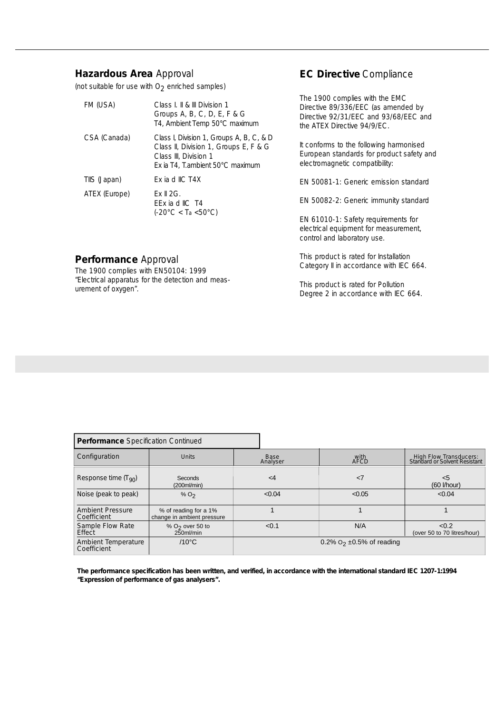## **Hazardous Area** Approval

**Performance** Approval

urement of oxygen".

The 1900 complies with EN50104: 1999 "Electrical apparatus for the detection and meas-

(not suitable for use with  $O_2$  enriched samples)

| FM (USA)      | Class L II & III Division 1<br>Groups A, B, C, D, E, F & G<br>T4, Ambient Temp 50°C maximum                                                     |
|---------------|-------------------------------------------------------------------------------------------------------------------------------------------------|
| CSA (Canada)  | Class I, Division 1, Groups A, B, C, & D<br>Class II, Division 1, Groups E, F & G<br>Class III, Division 1<br>Ex ia T4, T. ambient 50°C maximum |
| TIIS (Japan)  | Fx ia d IIC T4X                                                                                                                                 |
| ATEX (Europe) | $Fx$ $\parallel$ $2G$ .<br>FFx ia d IIC T4<br>$(-20^{\circ}C < Ta < 50^{\circ}C)$                                                               |

## **EC Directive** Compliance

The 1900 complies with the EMC Directive 89/336/EEC (as amended by Directive 92/31/EEC and 93/68/EEC and the ATEX Directive 94/9/EC.

It conforms to the following harmonised European standards for product safety and electromagnetic compatibility:

EN 50081-1: Generic emission standard

EN 50082-2: Generic immunity standard

EN 61010-1: Safety requirements for electrical equipment for measurement, control and laboratory use.

This product is rated for Installation Category II in accordance with IEC 664.

This product is rated for Pollution Degree 2 in accordance with IEC 664.

| <b>Performance</b> Specification Continued |                                                     |                                 |              |                                                         |
|--------------------------------------------|-----------------------------------------------------|---------------------------------|--------------|---------------------------------------------------------|
| Configuration                              | <b>Units</b>                                        | Base<br>Analyser                | with<br>AFCD | High Flow Transducers:<br>Standard or Solvent Resistant |
| Response time $(T_{90})$                   | Seconds<br>$(200m$ /min $)$                         | $\leq$ 4                        | $\langle$ 7  | $5$<br>$(60$ <i>l/hour</i> )                            |
| Noise (peak to peak)                       | $%$ O <sub>2</sub>                                  | < 0.04                          | < 0.05       | < 0.04                                                  |
| <b>Ambient Pressure</b><br>Coefficient     | % of reading for a 1%<br>change in ambient pressure |                                 |              |                                                         |
| Sample Flow Rate<br>Effect                 | $%$ O <sub>2</sub> over 50 to<br>$250$ ml/min       | < 0.1                           | N/A          | < 0.2<br>(over 50 to 70 litres/hour)                    |
| Ambient Temperature<br>Coefficient         | $/10^{\circ}$ C                                     | 0.2% $O_2 \pm 0.5$ % of reading |              |                                                         |

**The performance specification has been written, and verified, in accordance with the international standard IEC 1207-1:1994 "Expression of performance of gas analysers".**